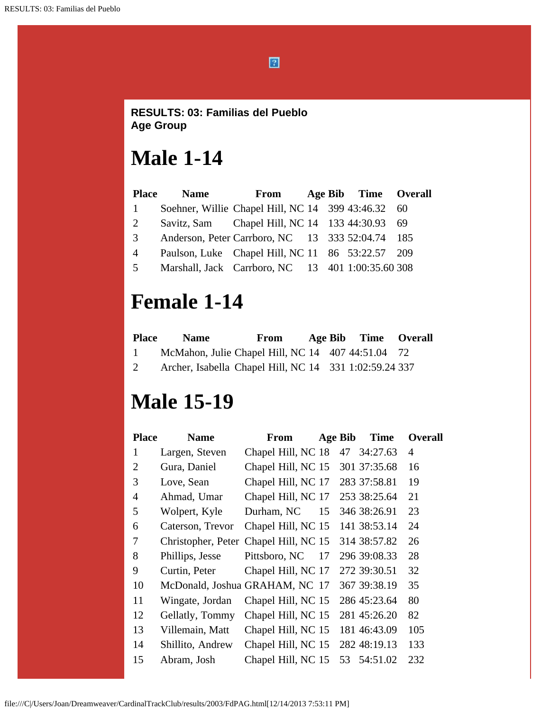$\boxed{2}$ 

#### **RESULTS: 03: Familias del Pueblo Age Group**

# **Male 1-14**

| <b>Place</b>          | <b>Name</b> | From                                               |  | Age Bib Time Overall |  |
|-----------------------|-------------|----------------------------------------------------|--|----------------------|--|
| 1                     |             | Soehner, Willie Chapel Hill, NC 14 399 43:46.32 60 |  |                      |  |
| $\mathcal{D}_{\cdot}$ |             | Savitz, Sam Chapel Hill, NC 14 133 44:30.93 69     |  |                      |  |
| $\mathcal{R}$         |             | Anderson, Peter Carrboro, NC 13 333 52:04.74 185   |  |                      |  |
| 4                     |             | Paulson, Luke Chapel Hill, NC 11 86 53:22.57 209   |  |                      |  |
| $\overline{5}$        |             | Marshall, Jack Carrboro, NC 13 401 1:00:35.60 308  |  |                      |  |

## **Female 1-14**

| <b>Place</b> | <b>Name</b>                                            | From |  | Age Bib Time Overall |  |
|--------------|--------------------------------------------------------|------|--|----------------------|--|
| $\mathbf{1}$ | McMahon, Julie Chapel Hill, NC 14 407 44:51.04 72      |      |  |                      |  |
|              | Archer, Isabella Chapel Hill, NC 14 331 1:02:59.24 337 |      |  |                      |  |

# **Male 15-19**

| <b>Name</b>      | <b>From</b>                                     |                    |                                                                                                                                                                                                                                                                                                        | <b>Time</b> | <b>Overall</b>                                                                                                                                                                                                                 |
|------------------|-------------------------------------------------|--------------------|--------------------------------------------------------------------------------------------------------------------------------------------------------------------------------------------------------------------------------------------------------------------------------------------------------|-------------|--------------------------------------------------------------------------------------------------------------------------------------------------------------------------------------------------------------------------------|
|                  |                                                 |                    | 47                                                                                                                                                                                                                                                                                                     | 34:27.63    | $\overline{4}$                                                                                                                                                                                                                 |
| Gura, Daniel     |                                                 |                    |                                                                                                                                                                                                                                                                                                        |             | 16                                                                                                                                                                                                                             |
|                  |                                                 |                    |                                                                                                                                                                                                                                                                                                        |             | 19                                                                                                                                                                                                                             |
| Ahmad, Umar      |                                                 |                    |                                                                                                                                                                                                                                                                                                        |             | 21                                                                                                                                                                                                                             |
| Wolpert, Kyle    | Durham, NC                                      | 15                 |                                                                                                                                                                                                                                                                                                        |             | 23                                                                                                                                                                                                                             |
| Caterson, Trevor |                                                 |                    |                                                                                                                                                                                                                                                                                                        |             | 24                                                                                                                                                                                                                             |
|                  |                                                 |                    |                                                                                                                                                                                                                                                                                                        |             | 26                                                                                                                                                                                                                             |
|                  | Pittsboro, NC                                   | 17                 |                                                                                                                                                                                                                                                                                                        |             | 28                                                                                                                                                                                                                             |
| Curtin, Peter    |                                                 |                    |                                                                                                                                                                                                                                                                                                        |             | 32                                                                                                                                                                                                                             |
|                  |                                                 |                    |                                                                                                                                                                                                                                                                                                        |             | 35                                                                                                                                                                                                                             |
| Wingate, Jordan  |                                                 |                    |                                                                                                                                                                                                                                                                                                        |             | 80                                                                                                                                                                                                                             |
| Gellatly, Tommy  |                                                 |                    |                                                                                                                                                                                                                                                                                                        |             | 82                                                                                                                                                                                                                             |
| Villemain, Matt  |                                                 |                    |                                                                                                                                                                                                                                                                                                        |             | 105                                                                                                                                                                                                                            |
| Shillito, Andrew |                                                 |                    |                                                                                                                                                                                                                                                                                                        |             | 133                                                                                                                                                                                                                            |
| Abram, Josh      |                                                 |                    | 53                                                                                                                                                                                                                                                                                                     | 54:51.02    | 232                                                                                                                                                                                                                            |
|                  | Largen, Steven<br>Love, Sean<br>Phillips, Jesse | Christopher, Peter | Chapel Hill, NC 18<br>Chapel Hill, NC 15<br>Chapel Hill, NC 17<br>Chapel Hill, NC 17<br>Chapel Hill, NC 15<br>Chapel Hill, NC 15<br>Chapel Hill, NC 17<br>McDonald, Joshua GRAHAM, NC 17<br>Chapel Hill, NC 15<br>Chapel Hill, NC 15<br>Chapel Hill, NC 15<br>Chapel Hill, NC 15<br>Chapel Hill, NC 15 |             | <b>Age Bib</b><br>301 37:35.68<br>283 37:58.81<br>253 38:25.64<br>346 38:26.91<br>141 38:53.14<br>314 38:57.82<br>296 39:08.33<br>272 39:30.51<br>367 39:38.19<br>286 45:23.64<br>281 45:26.20<br>181 46:43.09<br>282 48:19.13 |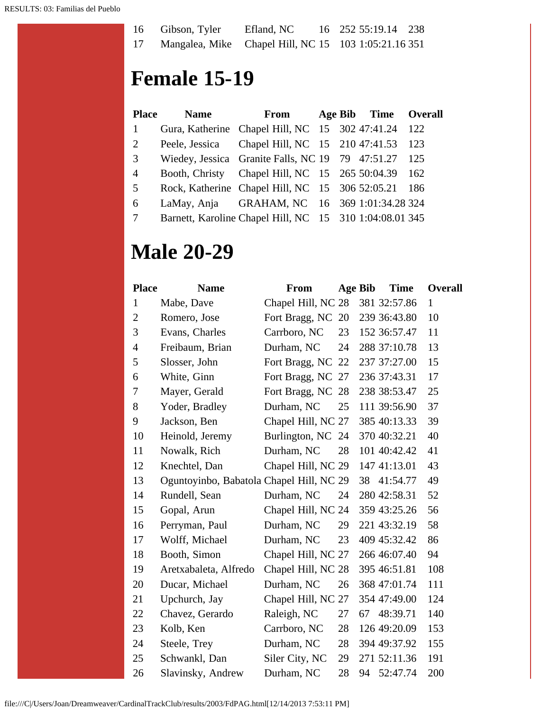| 16 | Gibson, Tyler | Efland, NC                                           | 16 252 55:19.14 238 |  |
|----|---------------|------------------------------------------------------|---------------------|--|
| 17 |               | Mangalea, Mike Chapel Hill, NC 15 103 1:05:21.16 351 |                     |  |

## **Female 15-19**

| <b>Place</b>    | <b>Name</b> | From                                                    |  | Age Bib Time Overall |       |
|-----------------|-------------|---------------------------------------------------------|--|----------------------|-------|
| 1               |             | Gura, Katherine Chapel Hill, NC 15 302 47:41.24 122     |  |                      |       |
| 2               |             | Peele, Jessica Chapel Hill, NC 15 210 47:41.53 123      |  |                      |       |
| 3               |             | Wiedey, Jessica Granite Falls, NC 19 79 47:51.27        |  |                      | - 125 |
| $\overline{4}$  |             | Booth, Christy Chapel Hill, NC 15 265 50:04.39 162      |  |                      |       |
| 5               |             | Rock, Katherine Chapel Hill, NC 15 306 52:05.21 186     |  |                      |       |
| 6               |             | LaMay, Anja GRAHAM, NC 16 369 1:01:34.28 324            |  |                      |       |
| $7\phantom{.0}$ |             | Barnett, Karoline Chapel Hill, NC 15 310 1:04:08.01 345 |  |                      |       |

## **Male 20-29**

| <b>Place</b>   | <b>Name</b>                              | <b>From</b>        | <b>Age Bib</b> |    | <b>Time</b>  | <b>Overall</b> |
|----------------|------------------------------------------|--------------------|----------------|----|--------------|----------------|
| $\mathbf{1}$   | Mabe, Dave                               | Chapel Hill, NC 28 |                |    | 381 32:57.86 | $\mathbf{1}$   |
| $\mathbf{2}$   | Romero, Jose                             | Fort Bragg, NC 20  |                |    | 239 36:43.80 | 10             |
| 3              | Evans, Charles                           | Carrboro, NC       | 23             |    | 152 36:57.47 | 11             |
| $\overline{4}$ | Freibaum, Brian                          | Durham, NC         | 24             |    | 288 37:10.78 | 13             |
| 5              | Slosser, John                            | Fort Bragg, NC 22  |                |    | 237 37:27.00 | 15             |
| 6              | White, Ginn                              | Fort Bragg, NC 27  |                |    | 236 37:43.31 | 17             |
| 7              | Mayer, Gerald                            | Fort Bragg, NC 28  |                |    | 238 38:53.47 | 25             |
| 8              | Yoder, Bradley                           | Durham, NC         | 25             |    | 111 39:56.90 | 37             |
| 9              | Jackson, Ben                             | Chapel Hill, NC 27 |                |    | 385 40:13.33 | 39             |
| 10             | Heinold, Jeremy                          | Burlington, NC 24  |                |    | 370 40:32.21 | 40             |
| 11             | Nowalk, Rich                             | Durham, NC         | 28             |    | 101 40:42.42 | 41             |
| 12             | Knechtel, Dan                            | Chapel Hill, NC 29 |                |    | 147 41:13.01 | 43             |
| 13             | Oguntoyinbo, Babatola Chapel Hill, NC 29 |                    |                | 38 | 41:54.77     | 49             |
| 14             | Rundell, Sean                            | Durham, NC         | 24             |    | 280 42:58.31 | 52             |
| 15             | Gopal, Arun                              | Chapel Hill, NC 24 |                |    | 359 43:25.26 | 56             |
| 16             | Perryman, Paul                           | Durham, NC         | 29             |    | 221 43:32.19 | 58             |
| 17             | Wolff, Michael                           | Durham, NC         | 23             |    | 409 45:32.42 | 86             |
| 18             | Booth, Simon                             | Chapel Hill, NC 27 |                |    | 266 46:07.40 | 94             |
| 19             | Aretxabaleta, Alfredo                    | Chapel Hill, NC 28 |                |    | 395 46:51.81 | 108            |
| 20             | Ducar, Michael                           | Durham, NC         | 26             |    | 368 47:01.74 | 111            |
| 21             | Upchurch, Jay                            | Chapel Hill, NC 27 |                |    | 354 47:49.00 | 124            |
| 22             | Chavez, Gerardo                          | Raleigh, NC        | 27             | 67 | 48:39.71     | 140            |
| 23             | Kolb, Ken                                | Carrboro, NC       | 28             |    | 126 49:20.09 | 153            |
| 24             | Steele, Trey                             | Durham, NC         | 28             |    | 394 49:37.92 | 155            |
| 25             | Schwankl, Dan                            | Siler City, NC     | 29             |    | 271 52:11.36 | 191            |
| 26             | Slavinsky, Andrew                        | Durham, NC         | 28             | 94 | 52:47.74     | 200            |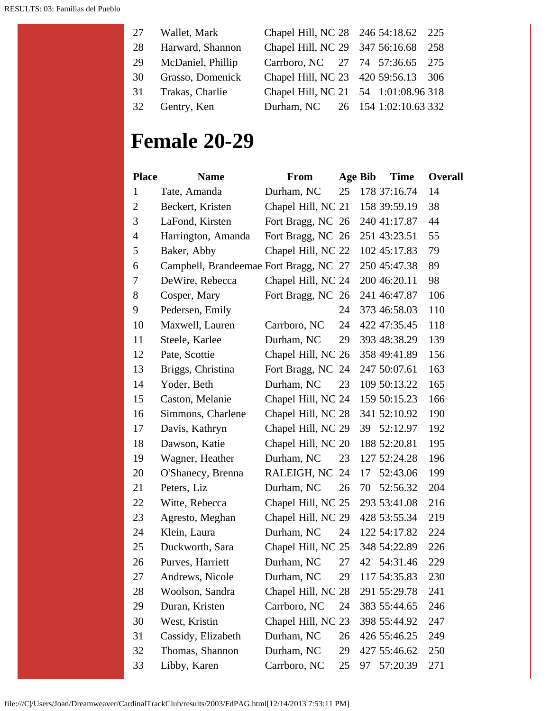|    | 27 Wallet, Mark   | Chapel Hill, NC 28 246 54:18.62 225  |  |  |
|----|-------------------|--------------------------------------|--|--|
| 28 | Harward, Shannon  | Chapel Hill, NC 29 347 56:16.68 258  |  |  |
| 29 | McDaniel, Phillip | Carrboro, NC 27 74 57:36.65 275      |  |  |
| 30 | Grasso, Domenick  | Chapel Hill, NC 23 420 59:56.13 306  |  |  |
| 31 | Trakas, Charlie   | Chapel Hill, NC 21 54 1:01:08.96 318 |  |  |
|    | 32 Gentry, Ken    | Durham, NC 26 154 1:02:10.63 332     |  |  |

## **Female 20-29**

| <b>Place</b>   | <b>Name</b>                            | <b>From</b>        | Age Bib |    | <b>Time</b>  | <b>Overall</b> |
|----------------|----------------------------------------|--------------------|---------|----|--------------|----------------|
| 1              | Tate, Amanda                           | Durham, NC         | 25      |    | 178 37:16.74 | 14             |
| $\overline{2}$ | Beckert, Kristen                       | Chapel Hill, NC 21 |         |    | 158 39:59.19 | 38             |
| 3              | LaFond, Kirsten                        | Fort Bragg, NC 26  |         |    | 240 41:17.87 | 44             |
| 4              | Harrington, Amanda                     | Fort Bragg, NC 26  |         |    | 251 43:23.51 | 55             |
| 5              | Baker, Abby                            | Chapel Hill, NC 22 |         |    | 102 45:17.83 | 79             |
| 6              | Campbell, Brandeemae Fort Bragg, NC 27 |                    |         |    | 250 45:47.38 | 89             |
| 7              | DeWire, Rebecca                        | Chapel Hill, NC 24 |         |    | 200 46:20.11 | 98             |
| 8              | Cosper, Mary                           | Fort Bragg, NC 26  |         |    | 241 46:47.87 | 106            |
| 9              | Pedersen, Emily                        |                    | 24      |    | 373 46:58.03 | 110            |
| 10             | Maxwell, Lauren                        | Carrboro, NC       | 24      |    | 422 47:35.45 | 118            |
| 11             | Steele, Karlee                         | Durham, NC         | 29      |    | 393 48:38.29 | 139            |
| 12             | Pate, Scottie                          | Chapel Hill, NC 26 |         |    | 358 49:41.89 | 156            |
| 13             | Briggs, Christina                      | Fort Bragg, NC 24  |         |    | 247 50:07.61 | 163            |
| 14             | Yoder, Beth                            | Durham, NC         | 23      |    | 109 50:13.22 | 165            |
| 15             | Caston, Melanie                        | Chapel Hill, NC 24 |         |    | 159 50:15.23 | 166            |
| 16             | Simmons, Charlene                      | Chapel Hill, NC 28 |         |    | 341 52:10.92 | 190            |
| 17             | Davis, Kathryn                         | Chapel Hill, NC 29 |         |    | 39 52:12.97  | 192            |
| 18             | Dawson, Katie                          | Chapel Hill, NC 20 |         |    | 188 52:20.81 | 195            |
| 19             | Wagner, Heather                        | Durham, NC         | 23      |    | 127 52:24.28 | 196            |
| 20             | O'Shanecy, Brenna                      | RALEIGH, NC 24     |         | 17 | 52:43.06     | 199            |
| 21             | Peters, Liz                            | Durham, NC         | 26      | 70 | 52:56.32     | 204            |
| 22             | Witte, Rebecca                         | Chapel Hill, NC 25 |         |    | 293 53:41.08 | 216            |
| 23             | Agresto, Meghan                        | Chapel Hill, NC 29 |         |    | 428 53:55.34 | 219            |
| 24             | Klein, Laura                           | Durham, NC         | 24      |    | 122 54:17.82 | 224            |
| 25             | Duckworth, Sara                        | Chapel Hill, NC 25 |         |    | 348 54:22.89 | 226            |
| 26             | Purves, Harriett                       | Durham, NC         | 27      |    | 42 54:31.46  | 229            |
| 27             | Andrews, Nicole                        | Durham, NC         | 29      |    | 117 54:35.83 | 230            |
| 28             | Woolson, Sandra                        | Chapel Hill, NC 28 |         |    | 291 55:29.78 | 241            |
| 29             | Duran, Kristen                         | Carrboro, NC       | 24      |    | 383 55:44.65 | 246            |
| 30             | West, Kristin                          | Chapel Hill, NC 23 |         |    | 398 55:44.92 | 247            |
| 31             | Cassidy, Elizabeth                     | Durham, NC         | 26      |    | 426 55:46.25 | 249            |
| 32             | Thomas, Shannon                        | Durham, NC         | 29      |    | 427 55:46.62 | 250            |
| 33             | Libby, Karen                           | Carrboro, NC       | 25      | 97 | 57:20.39     | 271            |

file:///C|/Users/Joan/Dreamweaver/CardinalTrackClub/results/2003/FdPAG.html[12/14/2013 7:53:11 PM]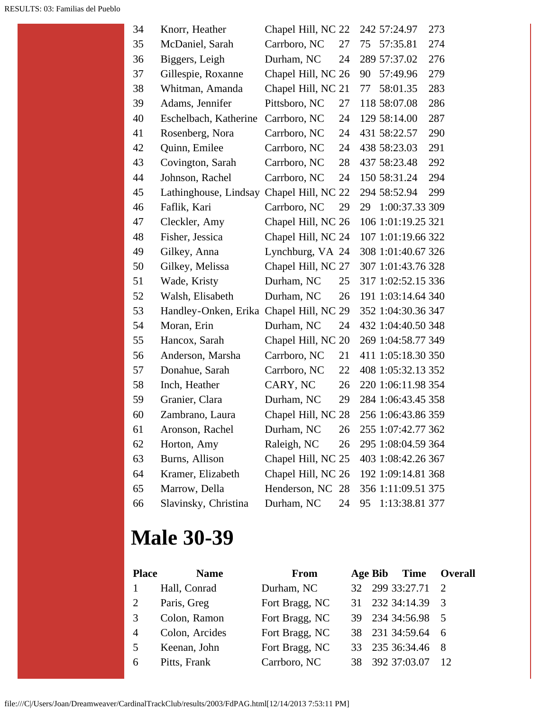| 34 | Knorr, Heather                       | Chapel Hill, NC 22 |    |    | 242 57:24.97       | 273 |
|----|--------------------------------------|--------------------|----|----|--------------------|-----|
| 35 | McDaniel, Sarah                      | Carrboro, NC       | 27 | 75 | 57:35.81           | 274 |
| 36 | Biggers, Leigh                       | Durham, NC         | 24 |    | 289 57:37.02       | 276 |
| 37 | Gillespie, Roxanne                   | Chapel Hill, NC 26 |    | 90 | 57:49.96           | 279 |
| 38 | Whitman, Amanda                      | Chapel Hill, NC 21 |    | 77 | 58:01.35           | 283 |
| 39 | Adams, Jennifer                      | Pittsboro, NC      | 27 |    | 118 58:07.08       | 286 |
| 40 | Eschelbach, Katherine                | Carrboro, NC       | 24 |    | 129 58:14.00       | 287 |
| 41 | Rosenberg, Nora                      | Carrboro, NC       | 24 |    | 431 58:22.57       | 290 |
| 42 | Quinn, Emilee                        | Carrboro, NC       | 24 |    | 438 58:23.03       | 291 |
| 43 | Covington, Sarah                     | Carrboro, NC       | 28 |    | 437 58:23.48       | 292 |
| 44 | Johnson, Rachel                      | Carrboro, NC       | 24 |    | 150 58:31.24       | 294 |
| 45 | Lathinghouse, Lindsay                | Chapel Hill, NC    | 22 |    | 294 58:52.94       | 299 |
| 46 | Faflik, Kari                         | Carrboro, NC       | 29 | 29 | 1:00:37.33 309     |     |
| 47 | Cleckler, Amy                        | Chapel Hill, NC 26 |    |    | 106 1:01:19.25 321 |     |
| 48 | Fisher, Jessica                      | Chapel Hill, NC 24 |    |    | 107 1:01:19.66 322 |     |
| 49 | Gilkey, Anna                         | Lynchburg, VA 24   |    |    | 308 1:01:40.67 326 |     |
| 50 | Gilkey, Melissa                      | Chapel Hill, NC 27 |    |    | 307 1:01:43.76 328 |     |
| 51 | Wade, Kristy                         | Durham, NC         | 25 |    | 317 1:02:52.15 336 |     |
| 52 | Walsh, Elisabeth                     | Durham, NC         | 26 |    | 191 1:03:14.64 340 |     |
| 53 | Handley-Onken, Erika Chapel Hill, NC |                    | 29 |    | 352 1:04:30.36 347 |     |
| 54 | Moran, Erin                          | Durham, NC         | 24 |    | 432 1:04:40.50 348 |     |
| 55 | Hancox, Sarah                        | Chapel Hill, NC 20 |    |    | 269 1:04:58.77 349 |     |
| 56 | Anderson, Marsha                     | Carrboro, NC       | 21 |    | 411 1:05:18.30 350 |     |
| 57 | Donahue, Sarah                       | Carrboro, NC       | 22 |    | 408 1:05:32.13 352 |     |
| 58 | Inch, Heather                        | CARY, NC           | 26 |    | 220 1:06:11.98 354 |     |
| 59 | Granier, Clara                       | Durham, NC         | 29 |    | 284 1:06:43.45 358 |     |
| 60 | Zambrano, Laura                      | Chapel Hill, NC 28 |    |    | 256 1:06:43.86 359 |     |
| 61 | Aronson, Rachel                      | Durham, NC         | 26 |    | 255 1:07:42.77 362 |     |
| 62 | Horton, Amy                          | Raleigh, NC        | 26 |    | 295 1:08:04.59 364 |     |
| 63 | Burns, Allison                       | Chapel Hill, NC 25 |    |    | 403 1:08:42.26 367 |     |
| 64 | Kramer, Elizabeth                    | Chapel Hill, NC 26 |    |    | 192 1:09:14.81 368 |     |
| 65 | Marrow, Della                        | Henderson, NC 28   |    |    | 356 1:11:09.51 375 |     |
| 66 | Slavinsky, Christina                 | Durham, NC         | 24 | 95 | 1:13:38.81 377     |     |

## **Male 30-39**

| <b>Place</b><br><b>Name</b> | <b>From</b>    |  |                                                                                                                                                            |
|-----------------------------|----------------|--|------------------------------------------------------------------------------------------------------------------------------------------------------------|
| Hall, Conrad                | Durham, NC     |  |                                                                                                                                                            |
| Paris, Greg                 | Fort Bragg, NC |  |                                                                                                                                                            |
| Colon, Ramon                | Fort Bragg, NC |  |                                                                                                                                                            |
| Colon, Arcides              | Fort Bragg, NC |  |                                                                                                                                                            |
| Keenan, John                | Fort Bragg, NC |  |                                                                                                                                                            |
| Pitts, Frank                | Carrboro, NC   |  | $\overline{12}$                                                                                                                                            |
|                             |                |  | <b>Time Overall</b><br>Age Bib<br>32 299 33:27.71 2<br>31 232 34:14.39 3<br>39 234 34:56.98 5<br>38 231 34:59.64 6<br>33 235 36:34.46 8<br>38 392 37:03.07 |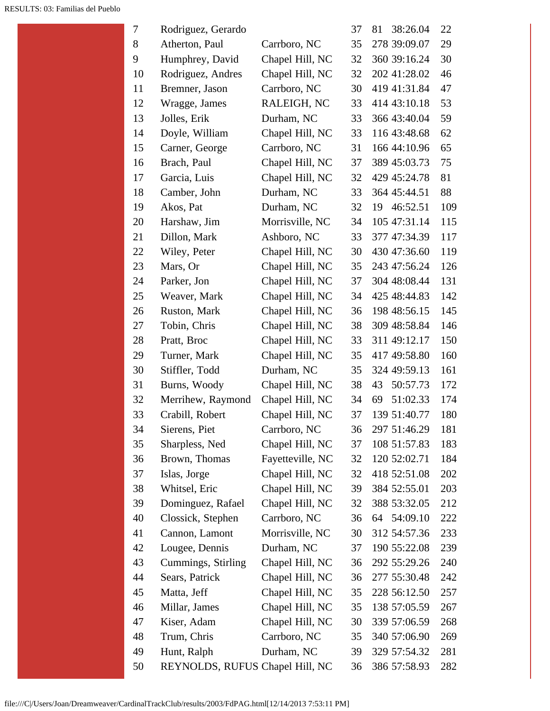| 7  | Rodriguez, Gerardo              |                  | 37 | 81<br>38:26.04 | 22  |
|----|---------------------------------|------------------|----|----------------|-----|
| 8  | Atherton, Paul                  | Carrboro, NC     | 35 | 278 39:09.07   | 29  |
| 9  | Humphrey, David                 | Chapel Hill, NC  | 32 | 360 39:16.24   | 30  |
| 10 | Rodriguez, Andres               | Chapel Hill, NC  | 32 | 202 41:28.02   | 46  |
| 11 | Bremner, Jason                  | Carrboro, NC     | 30 | 419 41:31.84   | 47  |
| 12 | Wragge, James                   | RALEIGH, NC      | 33 | 414 43:10.18   | 53  |
| 13 | Jolles, Erik                    | Durham, NC       | 33 | 366 43:40.04   | 59  |
| 14 | Doyle, William                  | Chapel Hill, NC  | 33 | 116 43:48.68   | 62  |
| 15 | Carner, George                  | Carrboro, NC     | 31 | 166 44:10.96   | 65  |
| 16 | Brach, Paul                     | Chapel Hill, NC  | 37 | 389 45:03.73   | 75  |
| 17 | Garcia, Luis                    | Chapel Hill, NC  | 32 | 429 45:24.78   | 81  |
| 18 | Camber, John                    | Durham, NC       | 33 | 364 45:44.51   | 88  |
| 19 | Akos, Pat                       | Durham, NC       | 32 | 46:52.51<br>19 | 109 |
| 20 | Harshaw, Jim                    | Morrisville, NC  | 34 | 105 47:31.14   | 115 |
| 21 | Dillon, Mark                    | Ashboro, NC      | 33 | 377 47:34.39   | 117 |
| 22 | Wiley, Peter                    | Chapel Hill, NC  | 30 | 430 47:36.60   | 119 |
| 23 | Mars, Or                        | Chapel Hill, NC  | 35 | 243 47:56.24   | 126 |
| 24 | Parker, Jon                     | Chapel Hill, NC  | 37 | 304 48:08.44   | 131 |
| 25 | Weaver, Mark                    | Chapel Hill, NC  | 34 | 425 48:44.83   | 142 |
| 26 | Ruston, Mark                    | Chapel Hill, NC  | 36 | 198 48:56.15   | 145 |
| 27 | Tobin, Chris                    | Chapel Hill, NC  | 38 | 309 48:58.84   | 146 |
| 28 | Pratt, Broc                     | Chapel Hill, NC  | 33 | 311 49:12.17   | 150 |
| 29 | Turner, Mark                    | Chapel Hill, NC  | 35 | 417 49:58.80   | 160 |
| 30 | Stiffler, Todd                  | Durham, NC       | 35 | 324 49:59.13   | 161 |
| 31 | Burns, Woody                    | Chapel Hill, NC  | 38 | 50:57.73<br>43 | 172 |
| 32 | Merrihew, Raymond               | Chapel Hill, NC  | 34 | 69<br>51:02.33 | 174 |
| 33 | Crabill, Robert                 | Chapel Hill, NC  | 37 | 139 51:40.77   | 180 |
| 34 | Sierens, Piet                   | Carrboro, NC     | 36 | 297 51:46.29   | 181 |
| 35 | Sharpless, Ned                  | Chapel Hill, NC  | 37 | 108 51:57.83   | 183 |
| 36 | Brown, Thomas                   | Fayetteville, NC | 32 | 120 52:02.71   | 184 |
| 37 | Islas, Jorge                    | Chapel Hill, NC  | 32 | 418 52:51.08   | 202 |
| 38 | Whitsel, Eric                   | Chapel Hill, NC  | 39 | 384 52:55.01   | 203 |
| 39 | Dominguez, Rafael               | Chapel Hill, NC  | 32 | 388 53:32.05   | 212 |
| 40 | Clossick, Stephen               | Carrboro, NC     | 36 | 64 54:09.10    | 222 |
| 41 | Cannon, Lamont                  | Morrisville, NC  | 30 | 312 54:57.36   | 233 |
| 42 | Lougee, Dennis                  | Durham, NC       | 37 | 190 55:22.08   | 239 |
| 43 | Cummings, Stirling              | Chapel Hill, NC  | 36 | 292 55:29.26   | 240 |
| 44 | Sears, Patrick                  | Chapel Hill, NC  | 36 | 277 55:30.48   | 242 |
| 45 | Matta, Jeff                     | Chapel Hill, NC  | 35 | 228 56:12.50   | 257 |
| 46 | Millar, James                   | Chapel Hill, NC  | 35 | 138 57:05.59   | 267 |
| 47 | Kiser, Adam                     | Chapel Hill, NC  | 30 | 339 57:06.59   | 268 |
| 48 | Trum, Chris                     | Carrboro, NC     | 35 | 340 57:06.90   | 269 |
| 49 | Hunt, Ralph                     | Durham, NC       | 39 | 329 57:54.32   | 281 |
| 50 | REYNOLDS, RUFUS Chapel Hill, NC |                  | 36 | 386 57:58.93   | 282 |
|    |                                 |                  |    |                |     |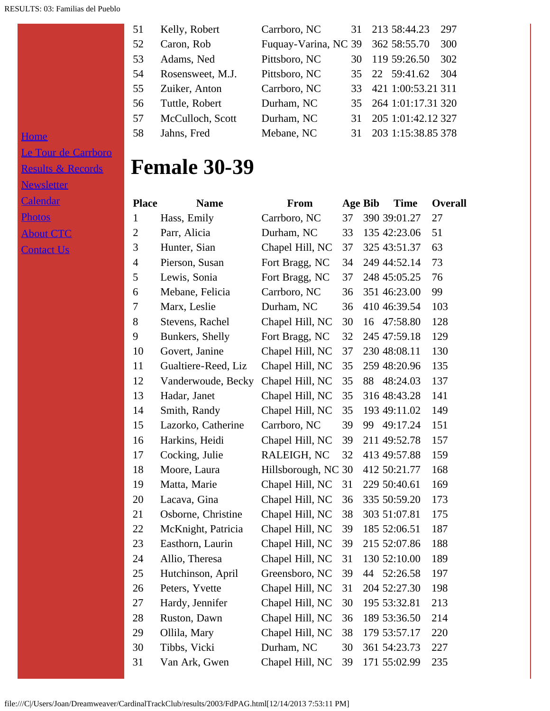| 51  | Kelly, Robert    | Carrboro, NC                      |    | 31 213 58:44.23       | 297 |
|-----|------------------|-----------------------------------|----|-----------------------|-----|
| 52  | Caron, Rob       | Fuquay-Varina, NC 39 362 58:55.70 |    |                       | 300 |
| 53  | Adams, Ned       | Pittsboro, NC                     | 30 | 119 59:26.50          | 302 |
| 54  | Rosensweet, M.J. | Pittsboro, NC                     |    | 35 22 59:41.62        | 304 |
| 55. | Zuiker, Anton    | Carrboro, NC                      | 33 | 421 1:00:53.21 311    |     |
| 56  | Tuttle, Robert   | Durham, NC                        |    | 35 264 1:01:17.31 320 |     |
| 57  | McCulloch, Scott | Durham, NC                        | 31 | 205 1:01:42.12 327    |     |
| 58  | Jahns, Fred      | Mebane, NC                        | 31 | 203 1:15:38.85 378    |     |

[Le Tour de Carrboro](file:///letourdecarrboro.html) [Results & Records](file:///results.html) **[Newsletter](file:///newsletterSignup.html) [Calendar](file:///page/page/8345191.htm) [Photos](file:///photos.html)** 

### [About CTC](file:///about.html)

**[Home](file:///home.html)** 

[Contact Us](file:///contactUs.html)

### **Female 30-39**

| <b>Place</b>   | <b>Name</b>         | <b>From</b>         | <b>Age Bib</b> |    | <b>Time</b>     | <b>Overall</b> |
|----------------|---------------------|---------------------|----------------|----|-----------------|----------------|
| $\mathbf{1}$   | Hass, Emily         | Carrboro, NC        | 37             |    | 390 39:01.27    | 27             |
| $\mathbf{2}$   | Parr, Alicia        | Durham, NC          | 33             |    | 135 42:23.06    | 51             |
| 3              | Hunter, Sian        | Chapel Hill, NC     | 37             |    | 325 43:51.37    | 63             |
| $\overline{4}$ | Pierson, Susan      | Fort Bragg, NC      | 34             |    | 249 44:52.14    | 73             |
| 5              | Lewis, Sonia        | Fort Bragg, NC      | 37             |    | 248 45:05.25    | 76             |
| 6              | Mebane, Felicia     | Carrboro, NC        | 36             |    | 351 46:23.00    | 99             |
| 7              | Marx, Leslie        | Durham, NC          | 36             |    | 410 46:39.54    | 103            |
| 8              | Stevens, Rachel     | Chapel Hill, NC     | 30             | 16 | 47:58.80        | 128            |
| 9              | Bunkers, Shelly     | Fort Bragg, NC      | 32             |    | 245 47:59.18    | 129            |
| 10             | Govert, Janine      | Chapel Hill, NC     | 37             |    | 230 48:08.11    | 130            |
| 11             | Gualtiere-Reed, Liz | Chapel Hill, NC     | 35             |    | 259 48:20.96    | 135            |
| 12             | Vanderwoude, Becky  | Chapel Hill, NC     | 35             | 88 | 48:24.03        | 137            |
| 13             | Hadar, Janet        | Chapel Hill, NC     | 35             |    | 316 48:43.28    | 141            |
| 14             | Smith, Randy        | Chapel Hill, NC     | 35             |    | 193 49:11.02    | 149            |
| 15             | Lazorko, Catherine  | Carrboro, NC        | 39             | 99 | 49:17.24        | 151            |
| 16             | Harkins, Heidi      | Chapel Hill, NC     | 39             |    | 211 49:52.78    | 157            |
| 17             | Cocking, Julie      | RALEIGH, NC         | 32             |    | 413 49:57.88    | 159            |
| 18             | Moore, Laura        | Hillsborough, NC 30 |                |    | 412 50:21.77    | 168            |
| 19             | Matta, Marie        | Chapel Hill, NC     | 31             |    | 229 50:40.61    | 169            |
| 20             | Lacava, Gina        | Chapel Hill, NC     | 36             |    | 335 50:59.20    | 173            |
| 21             | Osborne, Christine  | Chapel Hill, NC     | 38             |    | 303 51:07.81    | 175            |
| 22             | McKnight, Patricia  | Chapel Hill, NC     | 39             |    | 185 52:06.51    | 187            |
| 23             | Easthorn, Laurin    | Chapel Hill, NC     | 39             |    | 215 52:07.86    | 188            |
| 24             | Allio, Theresa      | Chapel Hill, NC     | 31             |    | 130 52:10.00    | 189            |
| 25             | Hutchinson, April   | Greensboro, NC      | 39             | 44 | 52:26.58        | 197            |
| 26             | Peters, Yvette      | Chapel Hill, NC     | 31             |    | 204 52:27.30    | 198            |
| 27             | Hardy, Jennifer     | Chapel Hill, NC     |                |    | 30 195 53:32.81 | 213            |
| 28             | Ruston, Dawn        | Chapel Hill, NC     | 36             |    | 189 53:36.50    | 214            |
| 29             | Ollila, Mary        | Chapel Hill, NC     | 38             |    | 179 53:57.17    | 220            |
| 30             | Tibbs, Vicki        | Durham, NC          | 30             |    | 361 54:23.73    | 227            |
| 31             | Van Ark, Gwen       | Chapel Hill, NC     | 39             |    | 171 55:02.99    | 235            |
|                |                     |                     |                |    |                 |                |

file:///C|/Users/Joan/Dreamweaver/CardinalTrackClub/results/2003/FdPAG.html[12/14/2013 7:53:11 PM]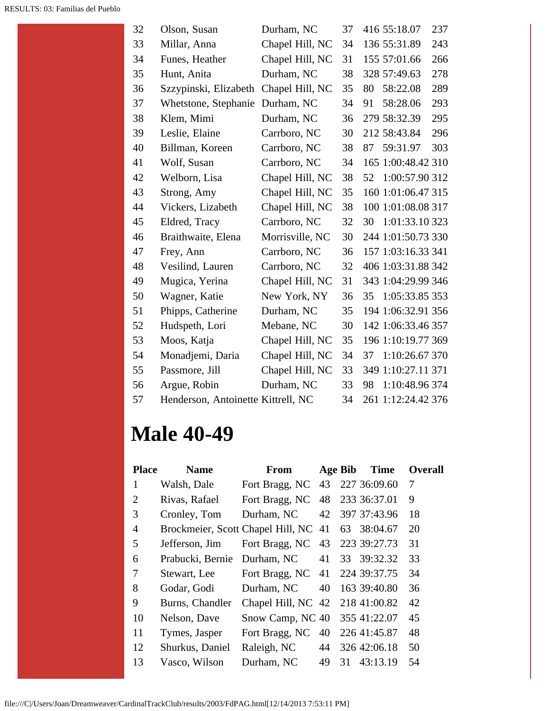| 32 | Olson, Susan                       | Durham, NC      | 37 | 416 55:18.07<br>237   |
|----|------------------------------------|-----------------|----|-----------------------|
| 33 | Millar, Anna                       | Chapel Hill, NC | 34 | 136 55:31.89<br>243   |
| 34 | Funes, Heather                     | Chapel Hill, NC | 31 | 155 57:01.66<br>266   |
| 35 | Hunt, Anita                        | Durham, NC      | 38 | 278<br>328 57:49.63   |
| 36 | Szzypinski, Elizabeth              | Chapel Hill, NC | 35 | 58:22.08<br>289<br>80 |
| 37 | Whetstone, Stephanie               | Durham, NC      | 34 | 293<br>58:28.06<br>91 |
| 38 | Klem, Mimi                         | Durham, NC      | 36 | 295<br>279 58:32.39   |
| 39 | Leslie, Elaine                     | Carrboro, NC    | 30 | 296<br>212 58:43.84   |
| 40 | Billman, Koreen                    | Carrboro, NC    | 38 | 303<br>59:31.97<br>87 |
| 41 | Wolf, Susan                        | Carrboro, NC    | 34 | 165 1:00:48.42 310    |
| 42 | Welborn, Lisa                      | Chapel Hill, NC | 38 | 1:00:57.90 312<br>52  |
| 43 | Strong, Amy                        | Chapel Hill, NC | 35 | 160 1:01:06.47 315    |
| 44 | Vickers, Lizabeth                  | Chapel Hill, NC | 38 | 100 1:01:08.08 317    |
| 45 | Eldred, Tracy                      | Carrboro, NC    | 32 | 1:01:33.10 323<br>30  |
| 46 | Braithwaite, Elena                 | Morrisville, NC | 30 | 244 1:01:50.73 330    |
| 47 | Frey, Ann                          | Carrboro, NC    | 36 | 157 1:03:16.33 341    |
| 48 | Vesilind, Lauren                   | Carrboro, NC    | 32 | 406 1:03:31.88 342    |
| 49 | Mugica, Yerina                     | Chapel Hill, NC | 31 | 343 1:04:29.99 346    |
| 50 | Wagner, Katie                      | New York, NY    | 36 | 1:05:33.85 353<br>35  |
| 51 | Phipps, Catherine                  | Durham, NC      | 35 | 194 1:06:32.91 356    |
| 52 | Hudspeth, Lori                     | Mebane, NC      | 30 | 142 1:06:33.46 357    |
| 53 | Moos, Katja                        | Chapel Hill, NC | 35 | 196 1:10:19.77 369    |
| 54 | Monadjemi, Daria                   | Chapel Hill, NC | 34 | 1:10:26.67 370<br>37  |
| 55 | Passmore, Jill                     | Chapel Hill, NC | 33 | 349 1:10:27.11 371    |
| 56 | Argue, Robin                       | Durham, NC      | 33 | 1:10:48.96 374<br>98  |
| 57 | Henderson, Antoinette Kittrell, NC |                 | 34 | 261 1:12:24.42 376    |

# **Male 40-49**

| <b>Place</b>          | <b>Name</b>                          | <b>From</b>                     |    | Age Bib | <b>Time</b>  | <b>Overall</b> |
|-----------------------|--------------------------------------|---------------------------------|----|---------|--------------|----------------|
| 1                     | Walsh, Dale                          | Fort Bragg, NC 43 227 36:09.60  |    |         |              | 7              |
| $\mathcal{D}_{\cdot}$ | Rivas, Rafael                        | Fort Bragg, NC 48               |    |         | 233 36:37.01 | 9              |
| 3                     | Cronley, Tom                         | Durham, NC                      | 42 |         | 397 37:43.96 | 18             |
| 4                     | Brockmeier, Scott Chapel Hill, NC 41 |                                 |    |         | 63 38:04.67  | 20             |
| 5                     | Jefferson, Jim                       | Fort Bragg, NC                  | 43 |         | 223 39:27.73 | 31             |
| 6                     | Prabucki, Bernie                     | Durham, NC                      | 41 |         | 33 39:32.32  | 33             |
| 7                     | Stewart, Lee                         | Fort Bragg, NC 41               |    |         | 224 39:37.75 | 34             |
| 8                     | Godar, Godi                          | Durham, NC                      | 40 |         | 163 39:40.80 | 36             |
| 9                     | Burns, Chandler                      | Chapel Hill, NC 42 218 41:00.82 |    |         |              | 42             |
| 10                    | Nelson, Dave                         | Snow Camp, NC 40 355 41:22.07   |    |         |              | 45             |
| 11                    | Tymes, Jasper                        | Fort Bragg, NC                  | 40 |         | 226 41:45.87 | 48             |
| 12                    | Shurkus, Daniel                      | Raleigh, NC                     | 44 |         | 326 42:06.18 | 50             |
| 13                    | Vasco, Wilson                        | Durham, NC                      | 49 | 31      | 43:13.19     | 54             |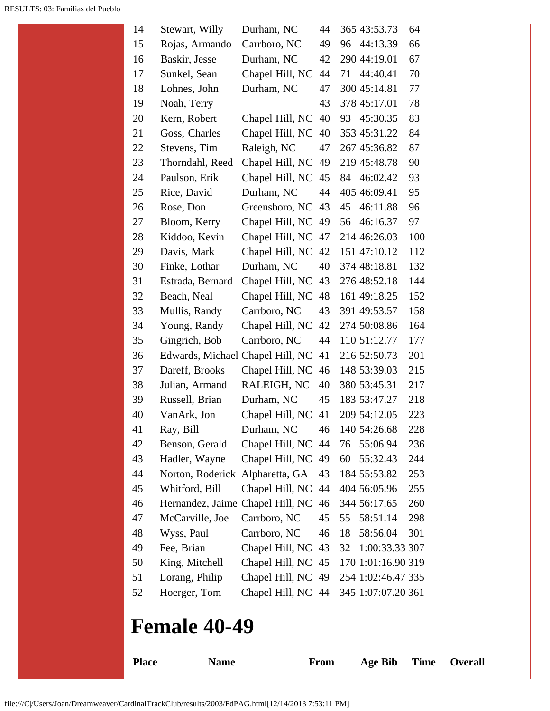| 14 | Stewart, Willy                   | Durham, NC      | 44 | 365 43:53.73         | 64  |
|----|----------------------------------|-----------------|----|----------------------|-----|
| 15 | Rojas, Armando                   | Carrboro, NC    | 49 | 44:13.39<br>96       | 66  |
| 16 | Baskir, Jesse                    | Durham, NC      | 42 | 290 44:19.01         | 67  |
| 17 | Sunkel, Sean                     | Chapel Hill, NC | 44 | 44:40.41<br>71       | 70  |
| 18 | Lohnes, John                     | Durham, NC      | 47 | 300 45:14.81         | 77  |
| 19 | Noah, Terry                      |                 | 43 | 378 45:17.01         | 78  |
| 20 | Kern, Robert                     | Chapel Hill, NC | 40 | 45:30.35<br>93       | 83  |
| 21 | Goss, Charles                    | Chapel Hill, NC | 40 | 353 45:31.22         | 84  |
| 22 | Stevens, Tim                     | Raleigh, NC     | 47 | 267 45:36.82         | 87  |
| 23 | Thorndahl, Reed                  | Chapel Hill, NC | 49 | 219 45:48.78         | 90  |
| 24 | Paulson, Erik                    | Chapel Hill, NC | 45 | 46:02.42<br>84       | 93  |
| 25 | Rice, David                      | Durham, NC      | 44 | 405 46:09.41         | 95  |
| 26 | Rose, Don                        | Greensboro, NC  | 43 | 45<br>46:11.88       | 96  |
| 27 | Bloom, Kerry                     | Chapel Hill, NC | 49 | 46:16.37<br>56       | 97  |
| 28 | Kiddoo, Kevin                    | Chapel Hill, NC | 47 | 214 46:26.03         | 100 |
| 29 | Davis, Mark                      | Chapel Hill, NC | 42 | 151 47:10.12         | 112 |
| 30 | Finke, Lothar                    | Durham, NC      | 40 | 374 48:18.81         | 132 |
| 31 | Estrada, Bernard                 | Chapel Hill, NC | 43 | 276 48:52.18         | 144 |
| 32 | Beach, Neal                      | Chapel Hill, NC | 48 | 161 49:18.25         | 152 |
| 33 | Mullis, Randy                    | Carrboro, NC    | 43 | 391 49:53.57         | 158 |
| 34 | Young, Randy                     | Chapel Hill, NC | 42 | 274 50:08.86         | 164 |
| 35 | Gingrich, Bob                    | Carrboro, NC    | 44 | 110 51:12.77         | 177 |
| 36 | Edwards, Michael Chapel Hill, NC |                 | 41 | 216 52:50.73         | 201 |
| 37 | Dareff, Brooks                   | Chapel Hill, NC | 46 | 148 53:39.03         | 215 |
| 38 | Julian, Armand                   | RALEIGH, NC     | 40 | 380 53:45.31         | 217 |
| 39 | Russell, Brian                   | Durham, NC      | 45 | 183 53:47.27         | 218 |
| 40 | VanArk, Jon                      | Chapel Hill, NC | 41 | 209 54:12.05         | 223 |
| 41 | Ray, Bill                        | Durham, NC      | 46 | 140 54:26.68         | 228 |
| 42 | Benson, Gerald                   | Chapel Hill, NC | 44 | 55:06.94<br>76       | 236 |
| 43 | Hadler, Wayne                    | Chapel Hill, NC | 49 | 60<br>55:32.43       | 244 |
| 44 | Norton, Roderick                 | Alpharetta, GA  | 43 | 184 55:53.82         | 253 |
| 45 | Whitford, Bill                   | Chapel Hill, NC | 44 | 404 56:05.96         | 255 |
| 46 | Hernandez, Jaime Chapel Hill, NC |                 | 46 | 344 56:17.65         | 260 |
| 47 | McCarville, Joe                  | Carrboro, NC    | 45 | 58:51.14<br>55       | 298 |
| 48 | Wyss, Paul                       | Carrboro, NC    | 46 | 58:56.04<br>18       | 301 |
| 49 | Fee, Brian                       | Chapel Hill, NC | 43 | 1:00:33.33 307<br>32 |     |
| 50 | King, Mitchell                   | Chapel Hill, NC | 45 | 170 1:01:16.90 319   |     |
| 51 | Lorang, Philip                   | Chapel Hill, NC | 49 | 254 1:02:46.47 335   |     |
| 52 | Hoerger, Tom                     | Chapel Hill, NC | 44 | 345 1:07:07.20 361   |     |

## **Female 40-49**

**Place Name From Age Bib Time Overall**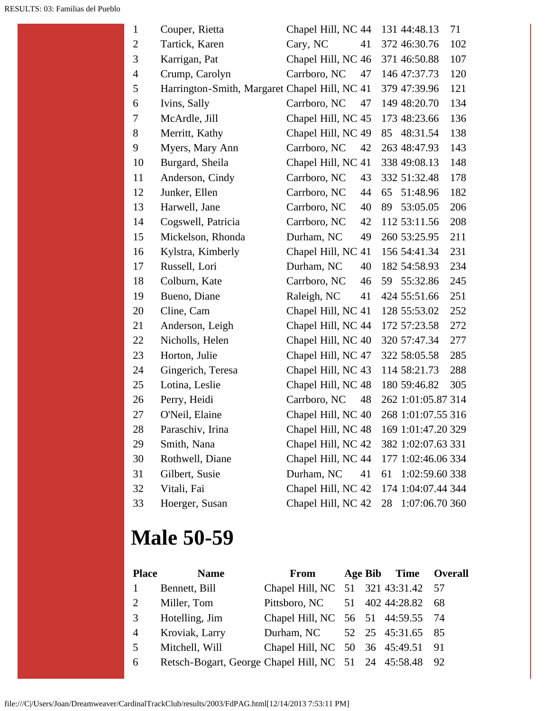| $\mathbf{1}$   | Couper, Rietta                                | Chapel Hill, NC 44 131 44:48.13 |    |    |                    | 71  |
|----------------|-----------------------------------------------|---------------------------------|----|----|--------------------|-----|
| $\overline{c}$ | Tartick, Karen                                | Cary, NC                        | 41 |    | 372 46:30.76       | 102 |
| 3              | Karrigan, Pat                                 | Chapel Hill, NC 46              |    |    | 371 46:50.88       | 107 |
| 4              | Crump, Carolyn                                | Carrboro, NC                    | 47 |    | 146 47:37.73       | 120 |
| 5              | Harrington-Smith, Margaret Chapel Hill, NC 41 |                                 |    |    | 379 47:39.96       | 121 |
| 6              | Ivins, Sally                                  | Carrboro, NC                    | 47 |    | 149 48:20.70       | 134 |
| 7              | McArdle, Jill                                 | Chapel Hill, NC 45              |    |    | 173 48:23.66       | 136 |
| 8              | Merritt, Kathy                                | Chapel Hill, NC 49              |    | 85 | 48:31.54           | 138 |
| 9              | Myers, Mary Ann                               | Carrboro, NC                    | 42 |    | 263 48:47.93       | 143 |
| 10             | Burgard, Sheila                               | Chapel Hill, NC 41              |    |    | 338 49:08.13       | 148 |
| 11             | Anderson, Cindy                               | Carrboro, NC                    | 43 |    | 332 51:32.48       | 178 |
| 12             | Junker, Ellen                                 | Carrboro, NC                    | 44 | 65 | 51:48.96           | 182 |
| 13             | Harwell, Jane                                 | Carrboro, NC                    | 40 | 89 | 53:05.05           | 206 |
| 14             | Cogswell, Patricia                            | Carrboro, NC                    | 42 |    | 112 53:11.56       | 208 |
| 15             | Mickelson, Rhonda                             | Durham, NC                      | 49 |    | 260 53:25.95       | 211 |
| 16             | Kylstra, Kimberly                             | Chapel Hill, NC 41              |    |    | 156 54:41.34       | 231 |
| 17             | Russell, Lori                                 | Durham, NC                      | 40 |    | 182 54:58.93       | 234 |
| 18             | Colburn, Kate                                 | Carrboro, NC                    | 46 | 59 | 55:32.86           | 245 |
| 19             | Bueno, Diane                                  | Raleigh, NC                     | 41 |    | 424 55:51.66       | 251 |
| 20             | Cline, Cam                                    | Chapel Hill, NC 41              |    |    | 128 55:53.02       | 252 |
| 21             | Anderson, Leigh                               | Chapel Hill, NC 44              |    |    | 172 57:23.58       | 272 |
| 22             | Nicholls, Helen                               | Chapel Hill, NC 40              |    |    | 320 57:47.34       | 277 |
| 23             | Horton, Julie                                 | Chapel Hill, NC 47              |    |    | 322 58:05.58       | 285 |
| 24             | Gingerich, Teresa                             | Chapel Hill, NC 43              |    |    | 114 58:21.73       | 288 |
| 25             | Lotina, Leslie                                | Chapel Hill, NC 48              |    |    | 180 59:46.82       | 305 |
| 26             | Perry, Heidi                                  | Carrboro, NC                    | 48 |    | 262 1:01:05.87 314 |     |
| 27             | O'Neil, Elaine                                | Chapel Hill, NC 40              |    |    | 268 1:01:07.55 316 |     |
| 28             | Paraschiv, Irina                              | Chapel Hill, NC 48              |    |    | 169 1:01:47.20 329 |     |
| 29             | Smith, Nana                                   | Chapel Hill, NC 42              |    |    | 382 1:02:07.63 331 |     |
| 30             | Rothwell, Diane                               | Chapel Hill, NC 44              |    |    | 177 1:02:46.06 334 |     |
| 31             | Gilbert, Susie                                | Durham, NC                      | 41 | 61 | 1:02:59.60 338     |     |
| 32             | Vitali, Fai                                   | Chapel Hill, NC 42              |    |    | 174 1:04:07.44 344 |     |
| 33             | Hoerger, Susan                                | Chapel Hill, NC 42              |    | 28 | 1:07:06.70 360     |     |

# **Male 50-59**

| <b>Place</b>   | <b>Name</b>                                             | From                               |  | Age Bib Time Overall |  |
|----------------|---------------------------------------------------------|------------------------------------|--|----------------------|--|
| $\mathbf{1}$   | Bennett, Bill                                           | Chapel Hill, NC 51 321 43:31.42 57 |  |                      |  |
| 2              | Miller, Tom                                             | Pittsboro, NC 51 402 44:28.82 68   |  |                      |  |
| 3              | Hotelling, Jim                                          | Chapel Hill, NC 56 51 44:59.55 74  |  |                      |  |
| $\overline{4}$ | Kroviak, Larry                                          | Durham, NC 52 25 45:31.65 85       |  |                      |  |
| 5              | Mitchell, Will                                          | Chapel Hill, NC 50 36 45:49.51 91  |  |                      |  |
| 6              | Retsch-Bogart, George Chapel Hill, NC 51 24 45:58.48 92 |                                    |  |                      |  |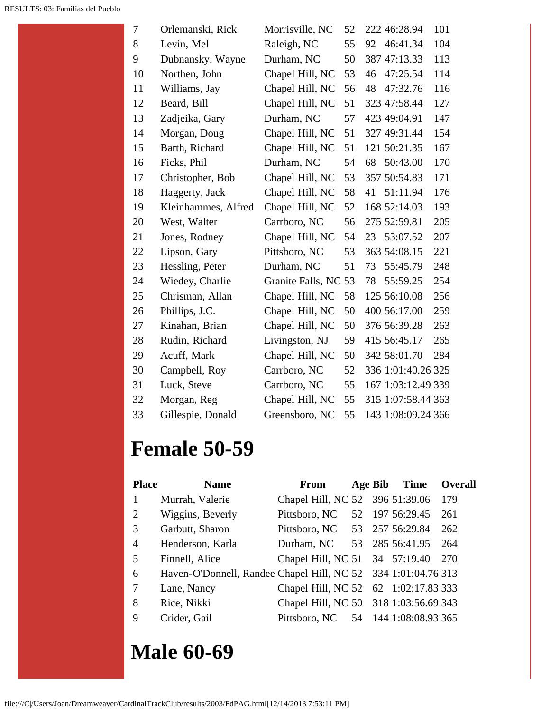| 7  | Orlemanski, Rick    | Morrisville, NC      | 52 | 222 46:28.94       | 101 |
|----|---------------------|----------------------|----|--------------------|-----|
| 8  | Levin, Mel          | Raleigh, NC          | 55 | 46:41.34<br>92     | 104 |
| 9  | Dubnansky, Wayne    | Durham, NC           | 50 | 387 47:13.33       | 113 |
| 10 | Northen, John       | Chapel Hill, NC      | 53 | 47:25.54<br>46     | 114 |
| 11 | Williams, Jay       | Chapel Hill, NC      | 56 | 47:32.76<br>48     | 116 |
| 12 | Beard, Bill         | Chapel Hill, NC      | 51 | 323 47:58.44       | 127 |
| 13 | Zadjeika, Gary      | Durham, NC           | 57 | 423 49:04.91       | 147 |
| 14 | Morgan, Doug        | Chapel Hill, NC      | 51 | 327 49:31.44       | 154 |
| 15 | Barth, Richard      | Chapel Hill, NC      | 51 | 121 50:21.35       | 167 |
| 16 | Ficks, Phil         | Durham, NC           | 54 | 50:43.00<br>68     | 170 |
| 17 | Christopher, Bob    | Chapel Hill, NC      | 53 | 357 50:54.83       | 171 |
| 18 | Haggerty, Jack      | Chapel Hill, NC      | 58 | 41<br>51:11.94     | 176 |
| 19 | Kleinhammes, Alfred | Chapel Hill, NC      | 52 | 168 52:14.03       | 193 |
| 20 | West, Walter        | Carrboro, NC         | 56 | 275 52:59.81       | 205 |
| 21 | Jones, Rodney       | Chapel Hill, NC      | 54 | 23<br>53:07.52     | 207 |
| 22 | Lipson, Gary        | Pittsboro, NC        | 53 | 363 54:08.15       | 221 |
| 23 | Hessling, Peter     | Durham, NC           | 51 | 55:45.79<br>73     | 248 |
| 24 | Wiedey, Charlie     | Granite Falls, NC 53 |    | 78<br>55:59.25     | 254 |
| 25 | Chrisman, Allan     | Chapel Hill, NC      | 58 | 125 56:10.08       | 256 |
| 26 | Phillips, J.C.      | Chapel Hill, NC      | 50 | 400 56:17.00       | 259 |
| 27 | Kinahan, Brian      | Chapel Hill, NC      | 50 | 376 56:39.28       | 263 |
| 28 | Rudin, Richard      | Livingston, NJ       | 59 | 415 56:45.17       | 265 |
| 29 | Acuff, Mark         | Chapel Hill, NC      | 50 | 342 58:01.70       | 284 |
| 30 | Campbell, Roy       | Carrboro, NC         | 52 | 336 1:01:40.26 325 |     |
| 31 | Luck, Steve         | Carrboro, NC         | 55 | 167 1:03:12.49 339 |     |
| 32 | Morgan, Reg         | Chapel Hill, NC      | 55 | 315 1:07:58.44 363 |     |
| 33 | Gillespie, Donald   | Greensboro, NC       | 55 | 143 1:08:09.24 366 |     |

# **Female 50-59**

| <b>Place</b>   | <b>Name</b>                                                   | From                                  |  | Age Bib Time          | Overall |
|----------------|---------------------------------------------------------------|---------------------------------------|--|-----------------------|---------|
| 1              | Murrah, Valerie                                               | Chapel Hill, NC 52 396 51:39.06 179   |  |                       |         |
| 2              | Wiggins, Beverly                                              | Pittsboro, NC                         |  | 52 197 56:29.45       | 261     |
| 3              | Garbutt, Sharon                                               | Pittsboro, NC 53 257 56:29.84         |  |                       | 262     |
| $\overline{4}$ | Henderson, Karla                                              | Durham, NC 53 285 56:41.95 264        |  |                       |         |
| 5              | Finnell, Alice                                                | Chapel Hill, NC 51 34 57:19.40 270    |  |                       |         |
| 6              | Haven-O'Donnell, Randee Chapel Hill, NC 52 334 1:01:04.76 313 |                                       |  |                       |         |
| 7              | Lane, Nancy                                                   | Chapel Hill, NC 52 62 1:02:17.83 333  |  |                       |         |
| 8              | Rice, Nikki                                                   | Chapel Hill, NC 50 318 1:03:56.69 343 |  |                       |         |
| 9              | Crider, Gail                                                  | Pittsboro, NC                         |  | 54 144 1:08:08.93 365 |         |

## **Male 60-69**